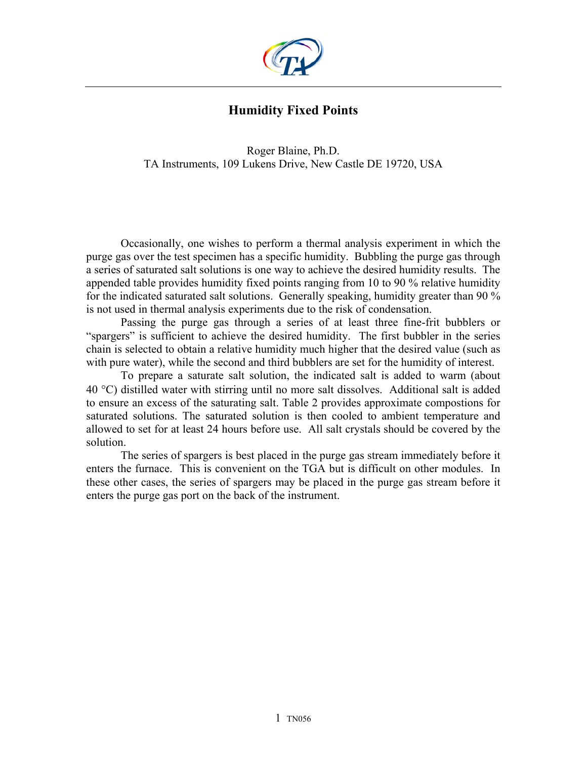

# **Humidity Fixed Points**

Roger Blaine, Ph.D. TA Instruments, 109 Lukens Drive, New Castle DE 19720, USA

Occasionally, one wishes to perform a thermal analysis experiment in which the purge gas over the test specimen has a specific humidity. Bubbling the purge gas through a series of saturated salt solutions is one way to achieve the desired humidity results. The appended table provides humidity fixed points ranging from 10 to 90 % relative humidity for the indicated saturated salt solutions. Generally speaking, humidity greater than 90 % is not used in thermal analysis experiments due to the risk of condensation.

Passing the purge gas through a series of at least three fine-frit bubblers or "spargers" is sufficient to achieve the desired humidity. The first bubbler in the series chain is selected to obtain a relative humidity much higher that the desired value (such as with pure water), while the second and third bubblers are set for the humidity of interest.

To prepare a saturate salt solution, the indicated salt is added to warm (about 40 °C) distilled water with stirring until no more salt dissolves. Additional salt is added to ensure an excess of the saturating salt. Table 2 provides approximate compostions for saturated solutions. The saturated solution is then cooled to ambient temperature and allowed to set for at least 24 hours before use. All salt crystals should be covered by the solution.

The series of spargers is best placed in the purge gas stream immediately before it enters the furnace. This is convenient on the TGA but is difficult on other modules. In these other cases, the series of spargers may be placed in the purge gas stream before it enters the purge gas port on the back of the instrument.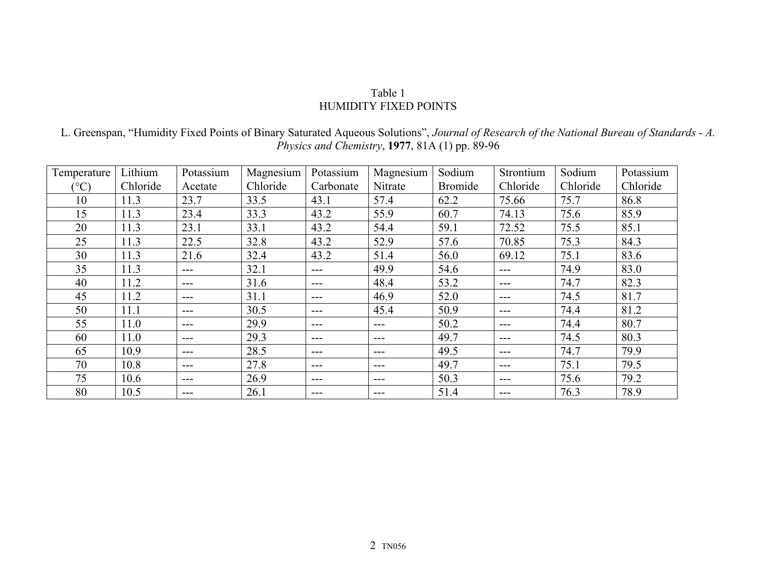#### Table 1 HUMIDITY FIXED POINTS

L. Greenspan, "Humidity Fixed Points of Binary Saturated Aqueous Solutions", *Journal of Research of the National Bureau of Standards - A. Physics and Chemistry*, **1977**, 81A (1) pp. 89-96

| Temperature  | Lithium  | Potassium | Magnesium | Potassium     | Magnesium | Sodium         | Strontium         | Sodium   | Potassium |
|--------------|----------|-----------|-----------|---------------|-----------|----------------|-------------------|----------|-----------|
| $(^\circ C)$ | Chloride | Acetate   | Chloride  | Carbonate     | Nitrate   | <b>Bromide</b> | Chloride          | Chloride | Chloride  |
| 10           | 11.3     | 23.7      | 33.5      | 43.1          | 57.4      | 62.2           | 75.66             | 75.7     | 86.8      |
| 15           | 11.3     | 23.4      | 33.3      | 43.2          | 55.9      | 60.7           | 74.13             | 75.6     | 85.9      |
| 20           | 11.3     | 23.1      | 33.1      | 43.2          | 54.4      | 59.1           | 72.52             | 75.5     | 85.1      |
| 25           | 11.3     | 22.5      | 32.8      | 43.2          | 52.9      | 57.6           | 70.85             | 75.3     | 84.3      |
| 30           | 11.3     | 21.6      | 32.4      | 43.2          | 51.4      | 56.0           | 69.12             | 75.1     | 83.6      |
| 35           | 11.3     | $---$     | 32.1      | $\frac{1}{2}$ | 49.9      | 54.6           | $---$             | 74.9     | 83.0      |
| 40           | 11.2     | $---$     | 31.6      | $---$         | 48.4      | 53.2           | $---$             | 74.7     | 82.3      |
| 45           | 11.2     | $---$     | 31.1      | $---$         | 46.9      | 52.0           | $\qquad \qquad -$ | 74.5     | 81.7      |
| 50           | 11.1     | $---$     | 30.5      | $---$         | 45.4      | 50.9           | $---$             | 74.4     | 81.2      |
| 55           | 11.0     | $---$     | 29.9      | $---$         | $---$     | 50.2           | $---$             | 74.4     | 80.7      |
| 60           | 11.0     | $---$     | 29.3      | $---$         | $---$     | 49.7           | $---$             | 74.5     | 80.3      |
| 65           | 10.9     | $---$     | 28.5      | $---$         | $---$     | 49.5           | ---               | 74.7     | 79.9      |
| 70           | 10.8     | $---$     | 27.8      | $---$         | $---$     | 49.7           | $\qquad \qquad -$ | 75.1     | 79.5      |
| 75           | 10.6     | $---$     | 26.9      | $---$         | $---$     | 50.3           | $---$             | 75.6     | 79.2      |
| 80           | 10.5     | ---       | 26.1      | $---$         |           | 51.4           | $---$             | 76.3     | 78.9      |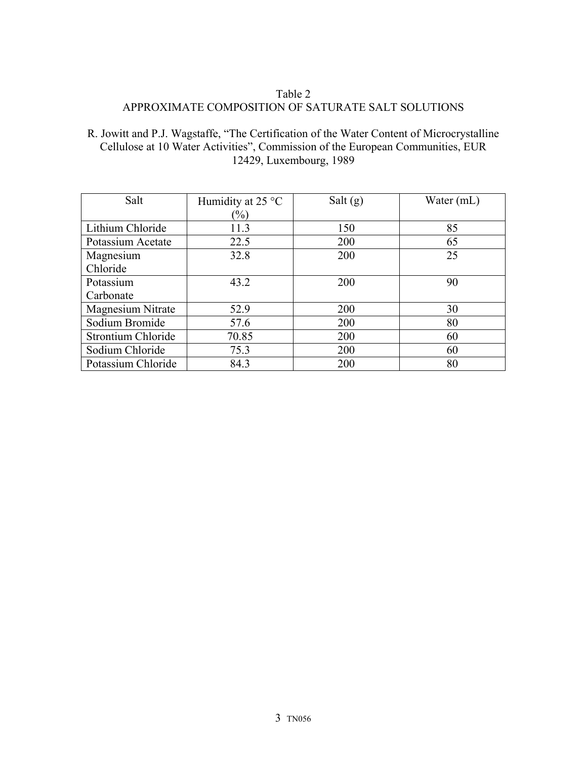## Table 2 APPROXIMATE COMPOSITION OF SATURATE SALT SOLUTIONS

### R. Jowitt and P.J. Wagstaffe, "The Certification of the Water Content of Microcrystalline Cellulose at 10 Water Activities", Commission of the European Communities, EUR 12429, Luxembourg, 1989

| Salt               | Humidity at 25 $\degree$ C | Salt $(g)$ | Water (mL) |
|--------------------|----------------------------|------------|------------|
|                    | $\frac{1}{2}$              |            |            |
| Lithium Chloride   | 11.3                       | 150        | 85         |
| Potassium Acetate  | 22.5                       | 200        | 65         |
| Magnesium          | 32.8                       | 200        | 25         |
| Chloride           |                            |            |            |
| Potassium          | 43.2                       | 200        | 90         |
| Carbonate          |                            |            |            |
| Magnesium Nitrate  | 52.9                       | 200        | 30         |
| Sodium Bromide     | 57.6                       | 200        | 80         |
| Strontium Chloride | 70.85                      | 200        | 60         |
| Sodium Chloride    | 75.3                       | 200        | 60         |
| Potassium Chloride | 84.3                       | 200        | 80         |